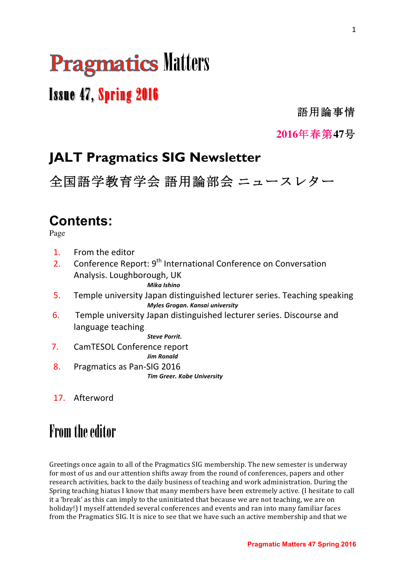# **Pragmatics Matters**

# Issue 47, Spring 2016

語用論事情

**2016**年春第**47**号

# **JALT Pragmatics SIG Newsletter**

全国語学教育学会 語用論部会 ニュースレター

# **Contents:**

Page

- 1. From the editor
- 2. Conference Report:  $9^{th}$  International Conference on Conversation Analysis. Loughborough, UK

*Mika Ishino*

- 5. Temple university Japan distinguished lecturer series. Teaching speaking *Myles Grogan. Kansai university*
- 6. Temple university Japan distinguished lecturer series. Discourse and language teaching

*Steve Porrit.* 

- 7. CamTESOL Conference report *Jim Ronald*
- 8. Pragmatics as Pan-SIG 2016 *Tim Greer. Kobe University*
- 17. Afterword

# From the editor

Greetings once again to all of the Pragmatics SIG membership. The new semester is underway for most of us and our attention shifts away from the round of conferences, papers and other research activities, back to the daily business of teaching and work administration. During the Spring teaching hiatus I know that many members have been extremely active. (I hesitate to call it a 'break' as this can imply to the uninitiated that because we are not teaching, we are on holiday!) I myself attended several conferences and events and ran into many familiar faces from the Pragmatics SIG. It is nice to see that we have such an active membership and that we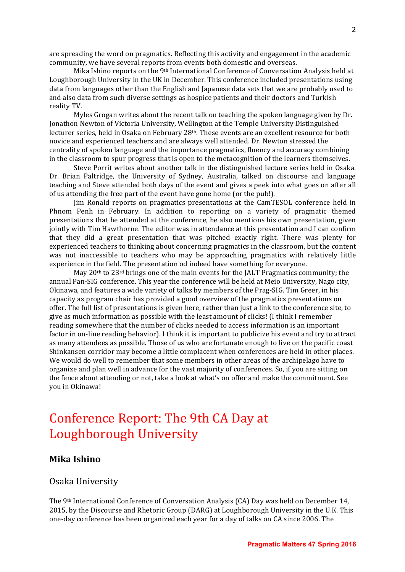are spreading the word on pragmatics. Reflecting this activity and engagement in the academic community, we have several reports from events both domestic and overseas.

Mika Ishino reports on the 9<sup>th</sup> International Conference of Conversation Analysis held at Loughborough University in the UK in December. This conference included presentations using data from languages other than the English and Japanese data sets that we are probably used to and also data from such diverse settings as hospice patients and their doctors and Turkish reality TV.

Myles Grogan writes about the recent talk on teaching the spoken language given by Dr. Jonathon Newton of Victoria University, Wellington at the Temple University Distinguished lecturer series, held in Osaka on February 28<sup>th</sup>. These events are an excellent resource for both novice and experienced teachers and are always well attended. Dr. Newton stressed the centrality of spoken language and the importance pragmatics, fluency and accuracy combining in the classroom to spur progress that is open to the metacognition of the learners themselves.

Steve Porrit writes about another talk in the distinguished lecture series held in Osaka. Dr. Brian Paltridge, the University of Sydney, Australia, talked on discourse and language teaching and Steve attended both days of the event and gives a peek into what goes on after all of us attending the free part of the event have gone home (or the pub!).

Jim Ronald reports on pragmatics presentations at the CamTESOL conference held in Phnom Penh in February. In addition to reporting on a variety of pragmatic themed presentations that he attended at the conference, he also mentions his own presentation, given jointly with Tim Hawthorne. The editor was in attendance at this presentation and I can confirm that they did a great presentation that was pitched exactly right. There was plenty for experienced teachers to thinking about concerning pragmatics in the classroom, but the content was not inaccessible to teachers who may be approaching pragmatics with relatively little experience in the field. The presentation od indeed have something for everyone.

May  $20<sup>th</sup>$  to  $23<sup>rd</sup>$  brings one of the main events for the JALT Pragmatics community; the annual Pan-SIG conference. This year the conference will be held at Meio University, Nago city, Okinawa, and features a wide variety of talks by members of the Prag-SIG. Tim Greer, in his capacity as program chair has provided a good overview of the pragmatics presentations on offer. The full list of presentations is given here, rather than just a link to the conference site, to give as much information as possible with the least amount of clicks! (I think I remember reading somewhere that the number of clicks needed to access information is an important factor in on-line reading behavior). I think it is important to publicize his event and try to attract as many attendees as possible. Those of us who are fortunate enough to live on the pacific coast Shinkansen corridor may become a little complacent when conferences are held in other places. We would do well to remember that some members in other areas of the archipelago have to organize and plan well in advance for the vast majority of conferences. So, if you are sitting on the fence about attending or not, take a look at what's on offer and make the commitment. See vou in Okinawa!

# Conference Report: The 9th CA Day at Loughborough University

# **Mika Ishino**

# Osaka University

The 9<sup>th</sup> International Conference of Conversation Analysis (CA) Day was held on December 14, 2015, by the Discourse and Rhetoric Group (DARG) at Loughborough University in the U.K. This one-day conference has been organized each year for a day of talks on CA since 2006. The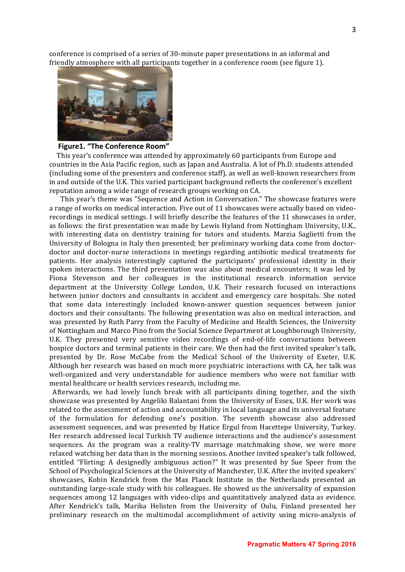conference is comprised of a series of 30-minute paper presentations in an informal and friendly atmosphere with all participants together in a conference room (see figure 1).



# **Figure1. "The Conference Room"**

This year's conference was attended by approximately 60 participants from Europe and countries in the Asia Pacific region, such as Japan and Australia. A lot of Ph.D. students attended (including some of the presenters and conference staff), as well as well-known researchers from in and outside of the U.K. This varied participant background reflects the conference's excellent reputation among a wide range of research groups working on CA.

This year's theme was "Sequence and Action in Conversation." The showcase features were a range of works on medical interaction. Five out of 11 showcases were actually based on videorecordings in medical settings. I will briefly describe the features of the 11 showcases in order, as follows: the first presentation was made by Lewis Hyland from Nottingham University, U.K., with interesting data on dentistry training for tutors and students. Marzia Saglietti from the University of Bologna in Italy then presented; her preliminary working data come from doctordoctor and doctor-nurse interactions in meetings regarding antibiotic medical treatments for patients. Her analysis interestingly captured the participants' professional identity in their spoken interactions. The third presentation was also about medical encounters; it was led by Fiona Stevenson and her colleagues in the institutional research information service department at the University College London, U.K. Their research focused on interactions between junior doctors and consultants in accident and emergency care hospitals. She noted that some data interestingly included known-answer question sequences between junior doctors and their consultants. The following presentation was also on medical interaction, and was presented by Ruth Parry from the Faculty of Medicine and Health Sciences, the University of Nottingham and Marco Pino from the Social Science Department at Loughborough University, U.K. They presented very sensitive video recordings of end-of-life conversations between hospice doctors and terminal patients in their care. We then had the first invited speaker's talk, presented by Dr. Rose McCabe from the Medical School of the University of Exeter, U.K. Although her research was based on much more psychiatric interactions with CA, her talk was well-organized and very understandable for audience members who were not familiar with mental healthcare or health services research, including me.

Afterwards, we had lovely lunch break with all participants dining together, and the sixth showcase was presented by Angeliki Balantani from the University of Essex, U.K. Her work was related to the assessment of action and accountability in local language and its universal feature of the formulation for defending one's position. The seventh showcase also addressed assessment sequences, and was presented by Hatice Ergul from Hacettepe University, Turkey. Her research addressed local Turkish TV audience interactions and the audience's assessment sequences. As the program was a reality-TV marriage matchmaking show, we were more relaxed watching her data than in the morning sessions. Another invited speaker's talk followed, entitled "Flirting: A designedly ambiguous action?" It was presented by Sue Speer from the School of Psychological Sciences at the University of Manchester, U.K. After the invited speakers' showcases, Kobin Kendrick from the Max Planck Institute in the Netherlands presented an outstanding large-scale study with his colleagues. He showed us the universality of expansion sequences among 12 languages with video-clips and quantitatively analyzed data as evidence. After Kendrick's talk, Marika Helisten from the University of Oulu, Finland presented her preliminary research on the multimodal accomplishment of activity using micro-analysis of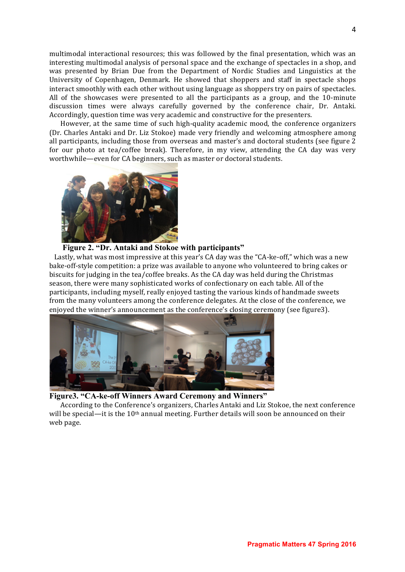multimodal interactional resources; this was followed by the final presentation, which was an interesting multimodal analysis of personal space and the exchange of spectacles in a shop, and was presented by Brian Due from the Department of Nordic Studies and Linguistics at the University of Copenhagen, Denmark. He showed that shoppers and staff in spectacle shops interact smoothly with each other without using language as shoppers try on pairs of spectacles. All of the showcases were presented to all the participants as a group, and the  $10$ -minute discussion times were always carefully governed by the conference chair, Dr. Antaki. Accordingly, question time was very academic and constructive for the presenters.

However, at the same time of such high-quality academic mood, the conference organizers (Dr. Charles Antaki and Dr. Liz Stokoe) made very friendly and welcoming atmosphere among all participants, including those from overseas and master's and doctoral students (see figure 2) for our photo at tea/coffee break). Therefore, in my view, attending the CA day was very worthwhile—even for CA beginners, such as master or doctoral students.



# **Figure 2. "Dr. Antaki and Stokoe with participants"**

Lastly, what was most impressive at this year's CA day was the "CA-ke-off," which was a new bake-off-style competition: a prize was available to anyone who volunteered to bring cakes or biscuits for judging in the tea/coffee breaks. As the CA day was held during the Christmas season, there were many sophisticated works of confectionary on each table. All of the participants, including myself, really enjoyed tasting the various kinds of handmade sweets from the many volunteers among the conference delegates. At the close of the conference, we enioved the winner's announcement as the conference's closing ceremony (see figure3).



**Figure3. "CA-ke-off Winners Award Ceremony and Winners"**

According to the Conference's organizers, Charles Antaki and Liz Stokoe, the next conference will be special—it is the  $10<sup>th</sup>$  annual meeting. Further details will soon be announced on their web page.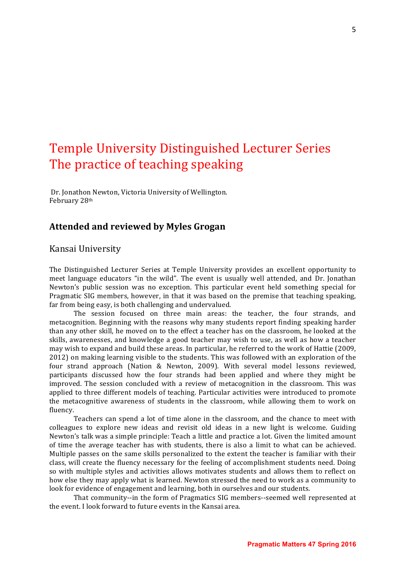# Temple University Distinguished Lecturer Series The practice of teaching speaking

Dr. Jonathon Newton, Victoria University of Wellington. February 28th

# **Attended and reviewed by Myles Grogan**

# Kansai University

The Distinguished Lecturer Series at Temple University provides an excellent opportunity to meet language educators "in the wild". The event is usually well attended, and Dr. Jonathan Newton's public session was no exception. This particular event held something special for Pragmatic SIG members, however, in that it was based on the premise that teaching speaking, far from being easy, is both challenging and undervalued.

The session focused on three main areas: the teacher, the four strands, and metacognition. Beginning with the reasons why many students report finding speaking harder than any other skill, he moved on to the effect a teacher has on the classroom, he looked at the skills, awarenesses, and knowledge a good teacher may wish to use, as well as how a teacher may wish to expand and build these areas. In particular, he referred to the work of Hattie (2009, 2012) on making learning visible to the students. This was followed with an exploration of the four strand approach (Nation & Newton, 2009). With several model lessons reviewed, participants discussed how the four strands had been applied and where they might be improved. The session concluded with a review of metacognition in the classroom. This was applied to three different models of teaching. Particular activities were introduced to promote the metacognitive awareness of students in the classroom, while allowing them to work on fluency. 

Teachers can spend a lot of time alone in the classroom, and the chance to meet with colleagues to explore new ideas and revisit old ideas in a new light is welcome. Guiding Newton's talk was a simple principle: Teach a little and practice a lot. Given the limited amount of time the average teacher has with students, there is also a limit to what can be achieved. Multiple passes on the same skills personalized to the extent the teacher is familiar with their class, will create the fluency necessary for the feeling of accomplishment students need. Doing so with multiple styles and activities allows motivates students and allows them to reflect on how else they may apply what is learned. Newton stressed the need to work as a community to look for evidence of engagement and learning, both in ourselves and our students.

That community--in the form of Pragmatics SIG members--seemed well represented at the event. I look forward to future events in the Kansai area.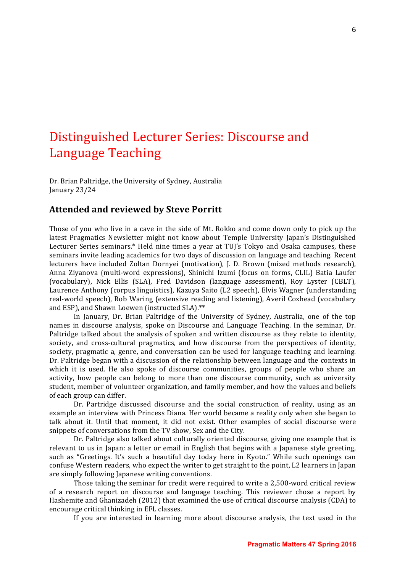# Distinguished Lecturer Series: Discourse and Language Teaching

Dr. Brian Paltridge, the University of Sydney, Australia January 23/24

# **Attended and reviewed by Steve Porritt**

Those of you who live in a cave in the side of Mt. Rokko and come down only to pick up the latest Pragmatics Newsletter might not know about Temple University Japan's Distinguished Lecturer Series seminars.\* Held nine times a year at TUJ's Tokyo and Osaka campuses, these seminars invite leading academics for two days of discussion on language and teaching. Recent lecturers have included Zoltan Dornyei (motivation), J. D. Brown (mixed methods research), Anna Ziyanova (multi-word expressions), Shinichi Izumi (focus on forms, CLIL) Batia Laufer (vocabulary), Nick Ellis (SLA), Fred Davidson (language assessment), Roy Lyster (CBLT), Laurence Anthony (corpus linguistics), Kazuya Saito (L2 speech), Elvis Wagner (understanding real-world speech), Rob Waring (extensive reading and listening), Averil Coxhead (vocabulary and ESP), and Shawn Loewen (instructed SLA).\*\*

In January, Dr. Brian Paltridge of the University of Sydney, Australia, one of the top names in discourse analysis, spoke on Discourse and Language Teaching. In the seminar, Dr. Paltridge talked about the analysis of spoken and written discourse as they relate to identity, society, and cross-cultural pragmatics, and how discourse from the perspectives of identity, society, pragmatic a, genre, and conversation can be used for language teaching and learning. Dr. Paltridge began with a discussion of the relationship between language and the contexts in which it is used. He also spoke of discourse communities, groups of people who share an activity, how people can belong to more than one discourse community, such as university student, member of volunteer organization, and family member, and how the values and beliefs of each group can differ.

Dr. Partridge discussed discourse and the social construction of reality, using as an example an interview with Princess Diana. Her world became a reality only when she began to talk about it. Until that moment, it did not exist. Other examples of social discourse were snippets of conversations from the TV show, Sex and the City.

Dr. Paltridge also talked about culturally oriented discourse, giving one example that is relevant to us in Japan: a letter or email in English that begins with a Japanese style greeting, such as "Greetings. It's such a beautiful day today here in Kyoto." While such openings can confuse Western readers, who expect the writer to get straight to the point, L2 learners in Japan are simply following Japanese writing conventions.

Those taking the seminar for credit were required to write a 2,500-word critical review of a research report on discourse and language teaching. This reviewer chose a report by Hashemite and Ghanizadeh (2012) that examined the use of critical discourse analysis (CDA) to encourage critical thinking in EFL classes.

If you are interested in learning more about discourse analysis, the text used in the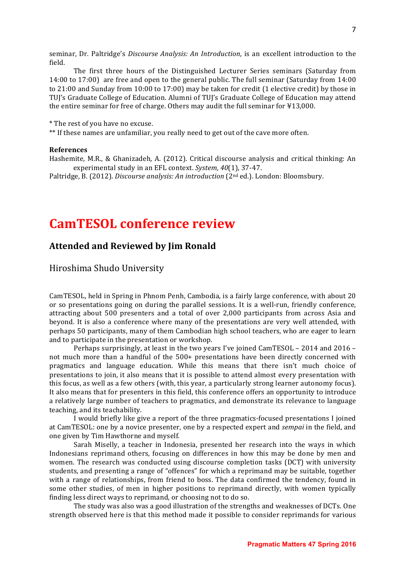seminar, Dr. Paltridge's *Discourse Analysis: An Introduction*, is an excellent introduction to the field.

The first three hours of the Distinguished Lecturer Series seminars (Saturday from  $14:00$  to  $17:00$  are free and open to the general public. The full seminar (Saturday from  $14:00$ to  $21:00$  and Sunday from  $10:00$  to  $17:00$  may be taken for credit  $(1$  elective credit) by those in TUI's Graduate College of Education. Alumni of TUI's Graduate College of Education may attend the entire seminar for free of charge. Others may audit the full seminar for  $\text{\textsterling}13,000$ .

\* The rest of you have no excuse.

\*\* If these names are unfamiliar, you really need to get out of the cave more often.

#### **References**

Hashemite, M.R., & Ghanizadeh, A. (2012). Critical discourse analysis and critical thinking: An experimental study in an EFL context. *System, 40*(1), 37-47.

Paltridge, B. (2012). *Discourse analysis: An introduction* (2<sup>nd</sup> ed.). London: Bloomsbury.

# **CamTESOL conference review**

# **Attended and Reviewed by Jim Ronald**

Hiroshima Shudo University

CamTESOL, held in Spring in Phnom Penh, Cambodia, is a fairly large conference, with about 20 or so presentations going on during the parallel sessions. It is a well-run, friendly conference, attracting about 500 presenters and a total of over 2,000 participants from across Asia and beyond. It is also a conference where many of the presentations are very well attended, with perhaps 50 participants, many of them Cambodian high school teachers, who are eager to learn and to participate in the presentation or workshop.

Perhaps surprisingly, at least in the two years I've joined CamTESOL – 2014 and 2016 – not much more than a handful of the 500+ presentations have been directly concerned with pragmatics and language education. While this means that there isn't much choice of presentations to join, it also means that it is possible to attend almost every presentation with this focus, as well as a few others (with, this year, a particularly strong learner autonomy focus). It also means that for presenters in this field, this conference offers an opportunity to introduce a relatively large number of teachers to pragmatics, and demonstrate its relevance to language teaching, and its teachability.

I would briefly like give a report of the three pragmatics-focused presentations I joined at CamTESOL: one by a novice presenter, one by a respected expert and *sempai* in the field, and one given by Tim Hawthorne and myself.

Sarah Miselly, a teacher in Indonesia, presented her research into the ways in which Indonesians reprimand others, focusing on differences in how this may be done by men and women. The research was conducted using discourse completion tasks (DCT) with university students, and presenting a range of "offences" for which a reprimand may be suitable, together with a range of relationships, from friend to boss. The data confirmed the tendency, found in some other studies, of men in higher positions to reprimand directly, with women typically finding less direct ways to reprimand, or choosing not to do so.

The study was also was a good illustration of the strengths and weaknesses of DCTs. One strength observed here is that this method made it possible to consider reprimands for various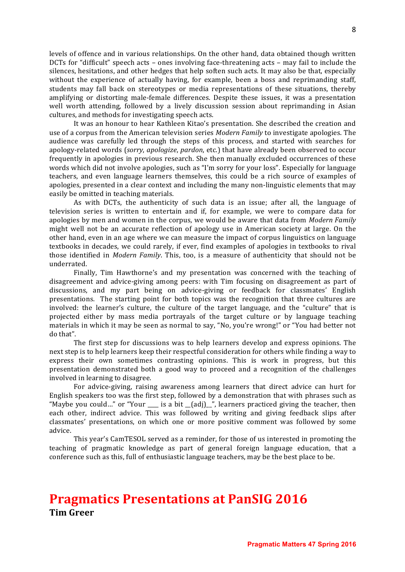levels of offence and in various relationships. On the other hand, data obtained though written DCTs for "difficult" speech acts – ones involving face-threatening acts – may fail to include the silences, hesitations, and other hedges that help soften such acts. It may also be that, especially without the experience of actually having, for example, been a boss and reprimanding staff, students may fall back on stereotypes or media representations of these situations, thereby amplifying or distorting male-female differences. Despite these issues, it was a presentation well worth attending, followed by a lively discussion session about reprimanding in Asian cultures, and methods for investigating speech acts.

It was an honour to hear Kathleen Kitao's presentation. She described the creation and use of a corpus from the American television series *Modern Family* to investigate apologies. The audience was carefully led through the steps of this process, and started with searches for apology-related words (*sorry*, *apologize*, *pardon*, etc.) that have already been observed to occur frequently in apologies in previous research. She then manually excluded occurrences of these words which did not involve apologies, such as "I'm sorry for your loss". Especially for language teachers, and even language learners themselves, this could be a rich source of examples of apologies, presented in a clear context and including the many non-linguistic elements that may easily be omitted in teaching materials.

As with DCTs, the authenticity of such data is an issue; after all, the language of television series is written to entertain and if, for example, we were to compare data for apologies by men and women in the corpus, we would be aware that data from *Modern Family* might well not be an accurate reflection of apology use in American society at large. On the other hand, even in an age where we can measure the impact of corpus linguistics on language textbooks in decades, we could rarely, if ever, find examples of apologies in textbooks to rival those identified in *Modern Family*. This, too, is a measure of authenticity that should not be underrated. 

Finally, Tim Hawthorne's and my presentation was concerned with the teaching of disagreement and advice-giving among peers: with Tim focusing on disagreement as part of discussions, and my part being on advice-giving or feedback for classmates' English presentations. The starting point for both topics was the recognition that three cultures are involved: the learner's culture, the culture of the target language, and the "culture" that is projected either by mass media portrayals of the target culture or by language teaching materials in which it may be seen as normal to say, "No, you're wrong!" or "You had better not do that". 

The first step for discussions was to help learners develop and express opinions. The next step is to help learners keep their respectful consideration for others while finding a way to express their own sometimes contrasting opinions. This is work in progress, but this presentation demonstrated both a good way to proceed and a recognition of the challenges involved in learning to disagree.

For advice-giving, raising awareness among learners that direct advice can hurt for English speakers too was the first step, followed by a demonstration that with phrases such as "Maybe you could..." or "Your  $\_\_$  is a bit  $\_$ (adj) $\_$ ", learners practiced giving the teacher, then each other, indirect advice. This was followed by writing and giving feedback slips after classmates' presentations, on which one or more positive comment was followed by some advice.

This year's CamTESOL served as a reminder, for those of us interested in promoting the teaching of pragmatic knowledge as part of general foreign language education, that a conference such as this, full of enthusiastic language teachers, may be the best place to be.

# **Pragmatics Presentations at PanSIG 2016 Tim Greer**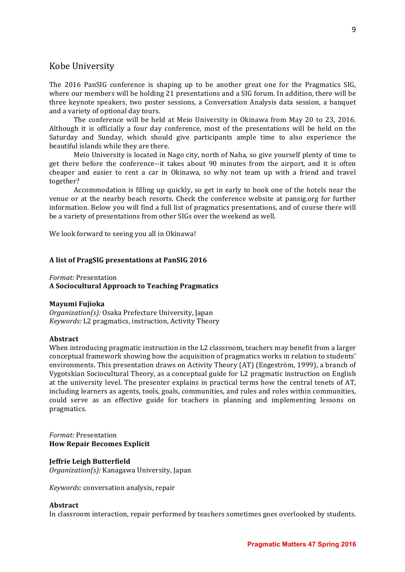# Kobe University

The 2016 PanSIG conference is shaping up to be another great one for the Pragmatics SIG, where our members will be holding 21 presentations and a SIG forum. In addition, there will be three keynote speakers, two poster sessions, a Conversation Analysis data session, a banquet and a variety of optional day tours.

The conference will be held at Meio University in Okinawa from May 20 to 23, 2016. Although it is officially a four day conference, most of the presentations will be held on the Saturday and Sunday, which should give participants ample time to also experience the beautiful islands while they are there.

Meio University is located in Nago city, north of Naha, so give yourself plenty of time to get there before the conference--it takes about 90 minutes from the airport, and it is often cheaper and easier to rent a car in Okinawa, so why not team up with a friend and travel together?

Accommodation is filling up quickly, so get in early to book one of the hotels near the venue or at the nearby beach resorts. Check the conference website at pansig.org for further information. Below you will find a full list of pragmatics presentations, and of course there will be a variety of presentations from other SIGs over the weekend as well.

We look forward to seeing you all in Okinawa!

#### A list of PragSIG presentations at PanSIG 2016

*Format:* Presentation

**A Sociocultural Approach to Teaching Pragmatics**

#### **Mayumi Fujioka**

*Organization(s):* Osaka Prefecture University, Japan *Keywords:* L2 pragmatics, instruction, Activity Theory

#### **Abstract**

When introducing pragmatic instruction in the L2 classroom, teachers may benefit from a larger conceptual framework showing how the acquisition of pragmatics works in relation to students' environments. This presentation draws on Activity Theory (AT) (Engeström, 1999), a branch of Vygotskian Sociocultural Theory, as a conceptual guide for L2 pragmatic instruction on English at the university level. The presenter explains in practical terms how the central tenets of AT, including learners as agents, tools, goals, communities, and rules and roles within communities, could serve as an effective guide for teachers in planning and implementing lessons on pragmatics.

### *Format:* Presentation **How Repair Becomes Explicit**

#### **Jeffrie Leigh Butterfield**

*Organization(s):* Kanagawa University, Japan

*Keywords:* conversation analysis, repair

#### **Abstract**

In classroom interaction, repair performed by teachers sometimes goes overlooked by students.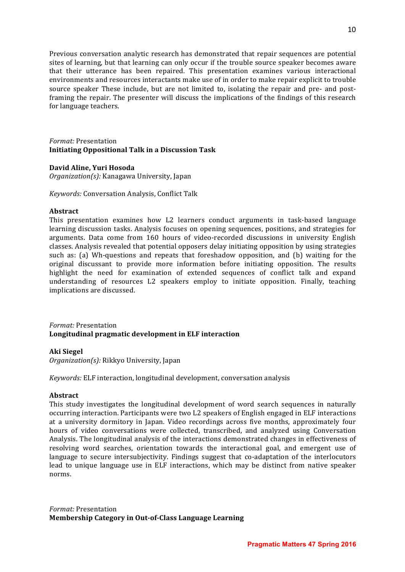Previous conversation analytic research has demonstrated that repair sequences are potential sites of learning, but that learning can only occur if the trouble source speaker becomes aware that their utterance has been repaired. This presentation examines various interactional environments and resources interactants make use of in order to make repair explicit to trouble source speaker These include, but are not limited to, isolating the repair and pre- and postframing the repair. The presenter will discuss the implications of the findings of this research for language teachers.

*Format:* Presentation **Initiating Oppositional Talk in a Discussion Task**

#### **David Aline, Yuri Hosoda**

*Organization(s):* Kanagawa University, Japan

*Keywords:* Conversation Analysis, Conflict Talk

#### **Abstract**

This presentation examines how L2 learners conduct arguments in task-based language learning discussion tasks. Analysis focuses on opening sequences, positions, and strategies for arguments. Data come from 160 hours of video-recorded discussions in university English classes. Analysis revealed that potential opposers delay initiating opposition by using strategies such as: (a) Wh-questions and repeats that foreshadow opposition, and (b) waiting for the original discussant to provide more information before initiating opposition. The results highlight the need for examination of extended sequences of conflict talk and expand understanding of resources L2 speakers employ to initiate opposition. Finally, teaching implications are discussed.

# *Format:* Presentation Longitudinal pragmatic development in ELF interaction

#### **Aki Siegel**

*Organization(s):* Rikkyo University, Japan

*Keywords:* ELF interaction, longitudinal development, conversation analysis

#### **Abstract**

This study investigates the longitudinal development of word search sequences in naturally occurring interaction. Participants were two L2 speakers of English engaged in ELF interactions at a university dormitory in Japan. Video recordings across five months, approximately four hours of video conversations were collected, transcribed, and analyzed using Conversation Analysis. The longitudinal analysis of the interactions demonstrated changes in effectiveness of resolving word searches, orientation towards the interactional goal, and emergent use of language to secure intersubjectivity. Findings suggest that co-adaptation of the interlocutors lead to unique language use in ELF interactions, which may be distinct from native speaker norms.

*Format:* Presentation **Membership Category in Out-of-Class Language Learning**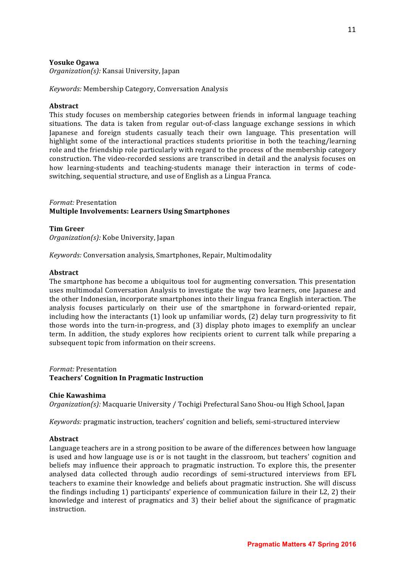# **Yosuke Ogawa**

*Organization(s):* Kansai University, Japan

*Keywords:* Membership Category, Conversation Analysis

### **Abstract**

This study focuses on membership categories between friends in informal language teaching situations. The data is taken from regular out-of-class language exchange sessions in which Japanese and foreign students casually teach their own language. This presentation will highlight some of the interactional practices students prioritise in both the teaching/learning role and the friendship role particularly with regard to the process of the membership category construction. The video-recorded sessions are transcribed in detail and the analysis focuses on how learning-students and teaching-students manage their interaction in terms of codeswitching, sequential structure, and use of English as a Lingua Franca.

### *Format:* Presentation **Multiple Involvements: Learners Using Smartphones**

#### **Tim Greer**

*Organization(s):* Kobe University, Japan

*Keywords:* Conversation analysis, Smartphones, Repair, Multimodality

#### **Abstract**

The smartphone has become a ubiquitous tool for augmenting conversation. This presentation uses multimodal Conversation Analysis to investigate the way two learners, one Japanese and the other Indonesian, incorporate smartphones into their lingua franca English interaction. The analysis focuses particularly on their use of the smartphone in forward-oriented repair, including how the interactants  $(1)$  look up unfamiliar words,  $(2)$  delay turn progressivity to fit those words into the turn-in-progress, and (3) display photo images to exemplify an unclear term. In addition, the study explores how recipients orient to current talk while preparing a subsequent topic from information on their screens.

*Format:* Presentation

#### **Teachers' Cognition In Pragmatic Instruction**

#### **Chie Kawashima**

*Organization(s):* Macquarie University / Tochigi Prefectural Sano Shou-ou High School, Japan

*Keywords:* pragmatic instruction, teachers' cognition and beliefs, semi-structured interview

#### **Abstract**

Language teachers are in a strong position to be aware of the differences between how language is used and how language use is or is not taught in the classroom, but teachers' cognition and beliefs may influence their approach to pragmatic instruction. To explore this, the presenter analysed data collected through audio recordings of semi-structured interviews from EFL teachers to examine their knowledge and beliefs about pragmatic instruction. She will discuss the findings including 1) participants' experience of communication failure in their  $L2$ , 2) their knowledge and interest of pragmatics and 3) their belief about the significance of pragmatic instruction.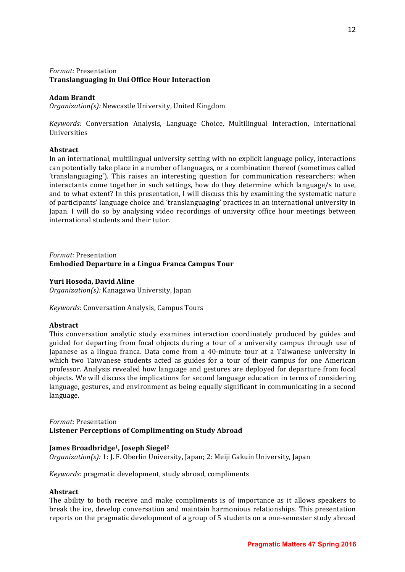# *Format:* Presentation **Translanguaging in Uni Office Hour Interaction**

# **Adam Brandt**

*Organization(s):* Newcastle University, United Kingdom

*Keywords:* Conversation Analysis, Language Choice, Multilingual Interaction, International Universities

# **Abstract**

In an international, multilingual university setting with no explicit language policy, interactions can potentially take place in a number of languages, or a combination thereof (sometimes called 'translanguaging'). This raises an interesting question for communication researchers: when interactants come together in such settings, how do they determine which language/s to use, and to what extent? In this presentation, I will discuss this by examining the systematic nature of participants' language choice and 'translanguaging' practices in an international university in Japan. I will do so by analysing video recordings of university office hour meetings between international students and their tutor.

# *Format:* Presentation **Embodied Departure in a Lingua Franca Campus Tour**

# **Yuri Hosoda, David Aline**

*Organization(s):* Kanagawa University, Japan

*Keywords:* Conversation Analysis, Campus Tours

# **Abstract**

This conversation analytic study examines interaction coordinately produced by guides and guided for departing from focal objects during a tour of a university campus through use of Japanese as a lingua franca. Data come from a 40-minute tour at a Taiwanese university in which two Taiwanese students acted as guides for a tour of their campus for one American professor. Analysis revealed how language and gestures are deployed for departure from focal objects. We will discuss the implications for second language education in terms of considering language, gestures, and environment as being equally significant in communicating in a second language.

# *Format:* Presentation Listener Perceptions of Complimenting on Study Abroad

# **James Broadbridge<sup>1</sup>, Joseph Siegel<sup>2</sup>**

*Organization(s):* 1: J. F. Oberlin University, Japan; 2: Meiji Gakuin University, Japan

*Keywords:* pragmatic development, study abroad, compliments

#### **Abstract**

The ability to both receive and make compliments is of importance as it allows speakers to break the ice, develop conversation and maintain harmonious relationships. This presentation reports on the pragmatic development of a group of 5 students on a one-semester study abroad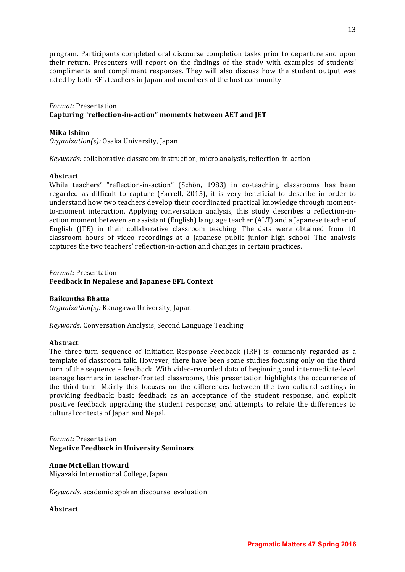program. Participants completed oral discourse completion tasks prior to departure and upon their return. Presenters will report on the findings of the study with examples of students' compliments and compliment responses. They will also discuss how the student output was rated by both EFL teachers in Japan and members of the host community.

# *Format:* Presentation Capturing "reflection-in-action" moments between AET and JET

# **Mika Ishino**

*Organization(s):* Osaka University, Japan

*Keywords:* collaborative classroom instruction, micro analysis, reflection-in-action

# **Abstract**

While teachers' "reflection-in-action" (Schön, 1983) in co-teaching classrooms has been regarded as difficult to capture (Farrell, 2015), it is very beneficial to describe in order to understand how two teachers develop their coordinated practical knowledge through momentto-moment interaction. Applying conversation analysis, this study describes a reflection-inaction moment between an assistant (English) language teacher (ALT) and a Japanese teacher of English  $(ITE)$  in their collaborative classroom teaching. The data were obtained from 10 classroom hours of video recordings at a Japanese public junior high school. The analysis captures the two teachers' reflection-in-action and changes in certain practices.

*Format:* Presentation

# Feedback in Nepalese and Japanese EFL Context

# **Baikuntha Bhatta**

*Organization(s):* Kanagawa University, Japan

*Keywords:* Conversation Analysis, Second Language Teaching

# **Abstract**

The three-turn sequence of Initiation-Response-Feedback (IRF) is commonly regarded as a template of classroom talk. However, there have been some studies focusing only on the third turn of the sequence – feedback. With video-recorded data of beginning and intermediate-level teenage learners in teacher-fronted classrooms, this presentation highlights the occurrence of the third turn. Mainly this focuses on the differences between the two cultural settings in providing feedback: basic feedback as an acceptance of the student response, and explicit positive feedback upgrading the student response; and attempts to relate the differences to cultural contexts of Japan and Nepal.

*Format:* Presentation **Negative Feedback in University Seminars**

# **Anne McLellan Howard**

Miyazaki International College, Japan

*Keywords:* academic spoken discourse, evaluation

# **Abstract**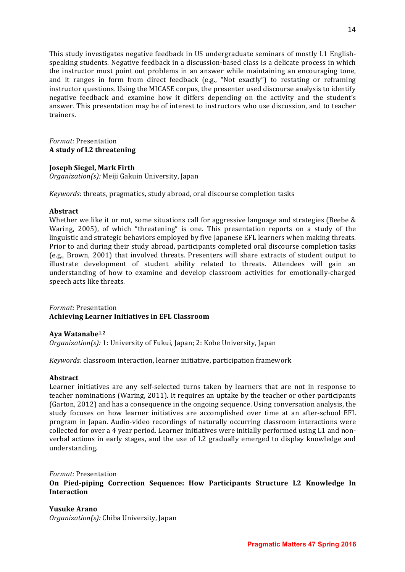This study investigates negative feedback in US undergraduate seminars of mostly L1 Englishspeaking students. Negative feedback in a discussion-based class is a delicate process in which the instructor must point out problems in an answer while maintaining an encouraging tone, and it ranges in form from direct feedback (e.g., "Not exactly") to restating or reframing instructor questions. Using the MICASE corpus, the presenter used discourse analysis to identify negative feedback and examine how it differs depending on the activity and the student's answer. This presentation may be of interest to instructors who use discussion, and to teacher trainers.

### *Format:* Presentation **A study of L2 threatening**

# **Joseph Siegel, Mark Firth**

*Organization(s):* Meiji Gakuin University, Japan

*Keywords:* threats, pragmatics, study abroad, oral discourse completion tasks

#### **Abstract**

Whether we like it or not, some situations call for aggressive language and strategies (Beebe  $\&$ Waring, 2005), of which "threatening" is one. This presentation reports on a study of the linguistic and strategic behaviors employed by five Japanese EFL learners when making threats. Prior to and during their study abroad, participants completed oral discourse completion tasks (e.g., Brown, 2001) that involved threats. Presenters will share extracts of student output to illustrate development of student ability related to threats. Attendees will gain an understanding of how to examine and develop classroom activities for emotionally-charged speech acts like threats.

*Format:* Presentation **Achieving Learner Initiatives in EFL Classroom** 

# **Aya Watanabe1,2**

*Organization(s):* 1: University of Fukui, Japan; 2: Kobe University, Japan

*Keywords:* classroom interaction, learner initiative, participation framework

# **Abstract**

Learner initiatives are any self-selected turns taken by learners that are not in response to teacher nominations (Waring, 2011). It requires an uptake by the teacher or other participants (Garton, 2012) and has a consequence in the ongoing sequence. Using conversation analysis, the study focuses on how learner initiatives are accomplished over time at an after-school EFL program in Japan. Audio-video recordings of naturally occurring classroom interactions were collected for over a 4 year period. Learner initiatives were initially performed using L1 and nonverbal actions in early stages, and the use of L2 gradually emerged to display knowledge and understanding.

# *Format:* Presentation **On Pied-piping Correction Sequence: How Participants Structure L2 Knowledge In Interaction**

**Yusuke Arano**  *Organization(s):* Chiba University, Japan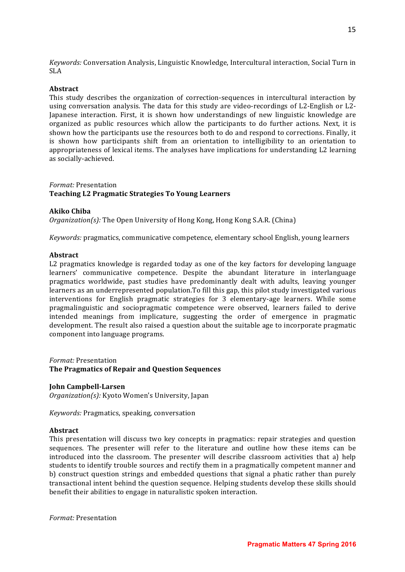*Keywords:* Conversation Analysis, Linguistic Knowledge, Intercultural interaction, Social Turn in SLA

# **Abstract**

This study describes the organization of correction-sequences in intercultural interaction by using conversation analysis. The data for this study are video-recordings of L2-English or L2-Japanese interaction. First, it is shown how understandings of new linguistic knowledge are organized as public resources which allow the participants to do further actions. Next, it is shown how the participants use the resources both to do and respond to corrections. Finally, it is shown how participants shift from an orientation to intelligibility to an orientation to appropriateness of lexical items. The analyses have implications for understanding L2 learning as socially-achieved.

#### *Format:* Presentation **Teaching L2 Pragmatic Strategies To Young Learners**

#### **Akiko Chiba**

*Organization(s):* The Open University of Hong Kong, Hong Kong S.A.R. (China)

*Keywords:* pragmatics, communicative competence, elementary school English, young learners

#### **Abstract**

L2 pragmatics knowledge is regarded today as one of the key factors for developing language learners' communicative competence. Despite the abundant literature in interlanguage pragmatics worldwide, past studies have predominantly dealt with adults, leaving younger learners as an underrepresented population. To fill this gap, this pilot study investigated various interventions for English pragmatic strategies for 3 elementary-age learners. While some pragmalinguistic and sociopragmatic competence were observed, learners failed to derive intended meanings from implicature, suggesting the order of emergence in pragmatic development. The result also raised a question about the suitable age to incorporate pragmatic component into language programs.

# *Format:* Presentation **The Pragmatics of Repair and Question Sequences**

#### **John Campbell-Larsen**

*Organization(s):* Kyoto Women's University, Japan

*Keywords:* Pragmatics, speaking, conversation

#### **Abstract**

This presentation will discuss two key concepts in pragmatics: repair strategies and question sequences. The presenter will refer to the literature and outline how these items can be introduced into the classroom. The presenter will describe classroom activities that a) help students to identify trouble sources and rectify them in a pragmatically competent manner and b) construct question strings and embedded questions that signal a phatic rather than purely transactional intent behind the question sequence. Helping students develop these skills should benefit their abilities to engage in naturalistic spoken interaction.

*Format:* Presentation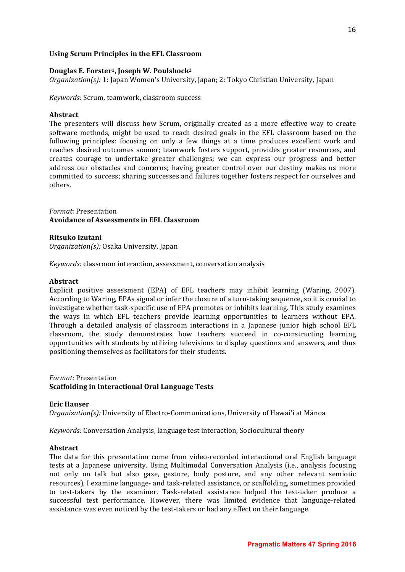# Using Scrum Principles in the EFL Classroom

### Douglas E. Forster<sup>1</sup>, Joseph W. Poulshock<sup>2</sup>

*Organization(s):* 1: Japan Women's University, Japan; 2: Tokyo Christian University, Japan

*Keywords: Scrum, teamwork, classroom success* 

#### **Abstract**

The presenters will discuss how Scrum, originally created as a more effective way to create software methods, might be used to reach desired goals in the EFL classroom based on the following principles: focusing on only a few things at a time produces excellent work and reaches desired outcomes sooner; teamwork fosters support, provides greater resources, and creates courage to undertake greater challenges; we can express our progress and better address our obstacles and concerns; having greater control over our destiny makes us more committed to success; sharing successes and failures together fosters respect for ourselves and others.

*Format:* Presentation **Avoidance of Assessments in EFL Classroom**

#### **Ritsuko Izutani**

*Organization(s):* Osaka University, Japan

*Keywords:* classroom interaction, assessment, conversation analysis

# **Abstract**

Explicit positive assessment (EPA) of EFL teachers may inhibit learning (Waring, 2007). According to Waring, EPAs signal or infer the closure of a turn-taking sequence, so it is crucial to investigate whether task-specific use of EPA promotes or inhibits learning. This study examines the ways in which EFL teachers provide learning opportunities to learners without EPA. Through a detailed analysis of classroom interactions in a Japanese junior high school EFL classroom, the study demonstrates how teachers succeed in co-constructing learning opportunities with students by utilizing televisions to display questions and answers, and thus positioning themselves as facilitators for their students.

# *Format:* Presentation **Scaffolding in Interactional Oral Language Tests**

#### **Eric Hauser**

*Organization(s):* University of Electro-Communications, University of Hawai'i at Mānoa

*Keywords:* Conversation Analysis, language test interaction, Sociocultural theory

#### **Abstract**

The data for this presentation come from video-recorded interactional oral English language tests at a Japanese university. Using Multimodal Conversation Analysis (i.e., analysis focusing not only on talk but also gaze, gesture, body posture, and any other relevant semiotic resources), I examine language- and task-related assistance, or scaffolding, sometimes provided to test-takers by the examiner. Task-related assistance helped the test-taker produce a successful test performance. However, there was limited evidence that language-related assistance was even noticed by the test-takers or had any effect on their language.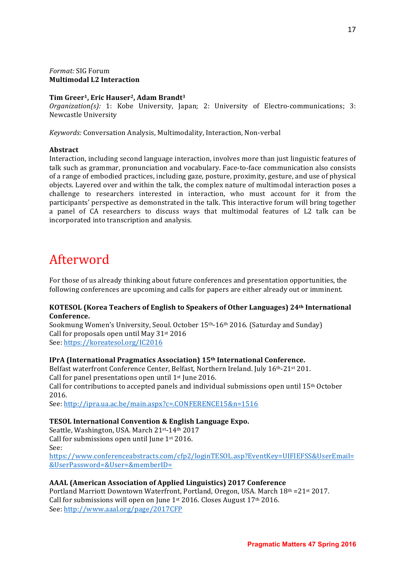# *Format:* SIG Forum **Multimodal L2 Interaction**

# Tim Greer<sup>1</sup>, Eric Hauser<sup>2</sup>, Adam Brandt<sup>3</sup>

*Organization(s):* 1: Kobe University, Japan; 2: University of Electro-communications; 3: Newcastle University

Keywords: Conversation Analysis, Multimodality, Interaction, Non-verbal

# **Abstract**

Interaction, including second language interaction, involves more than just linguistic features of talk such as grammar, pronunciation and vocabulary. Face-to-face communication also consists of a range of embodied practices, including gaze, posture, proximity, gesture, and use of physical objects. Layered over and within the talk, the complex nature of multimodal interaction poses a challenge to researchers interested in interaction, who must account for it from the participants' perspective as demonstrated in the talk. This interactive forum will bring together a panel of CA researchers to discuss ways that multimodal features of L2 talk can be incorporated into transcription and analysis.

# Afterword

For those of us already thinking about future conferences and presentation opportunities, the following conferences are upcoming and calls for papers are either already out or imminent.

# **KOTESOL (Korea Teachers of English to Speakers of Other Languages) 24th International Conference.**

Sookmung Women's University, Seoul. October 15th-16th 2016. (Saturday and Sunday) Call for proposals open until May  $31<sup>st</sup> 2016$ See: https://koreatesol.org/IC2016

# **IPrA (International Pragmatics Association) 15th International Conference.**

Belfast waterfront Conference Center, Belfast, Northern Ireland. July 16th-21st 201. Call for panel presentations open until  $1<sup>st</sup>$  June 2016. Call for contributions to accepted panels and individual submissions open until  $15<sup>th</sup>$  October 2016.

See: http://ipra.ua.ac.be/main.aspx?c=.CONFERENCE15&n=1516

# **TESOL International Convention & English Language Expo.**

Seattle, Washington, USA. March 21st-14th 2017 Call for submissions open until June  $1<sup>st</sup> 2016$ . See: https://www.conferenceabstracts.com/cfp2/loginTESOL.asp?EventKey=UIFIEFSS&UserEmail=

&UserPassword=&User=&memberID=

# **AAAL (American Association of Applied Linguistics) 2017 Conference**

Portland Marriott Downtown Waterfront, Portland, Oregon, USA. March  $18<sup>th</sup> = 21<sup>st</sup> 2017$ . Call for submissions will open on June  $1^{st}$  2016. Closes August  $17^{th}$  2016. See: http://www.aaal.org/page/2017CFP